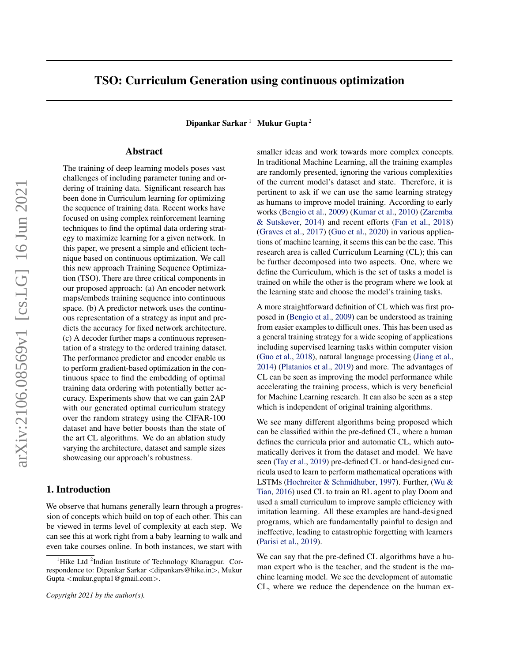# TSO: Curriculum Generation using continuous optimization

Dipankar Sarkar  $1$  Mukur Gupta  $2$ 

# Abstract

The training of deep learning models poses vast challenges of including parameter tuning and ordering of training data. Significant research has been done in Curriculum learning for optimizing the sequence of training data. Recent works have focused on using complex reinforcement learning techniques to find the optimal data ordering strategy to maximize learning for a given network. In this paper, we present a simple and efficient technique based on continuous optimization. We call this new approach Training Sequence Optimization (TSO). There are three critical components in our proposed approach: (a) An encoder network maps/embeds training sequence into continuous space. (b) A predictor network uses the continuous representation of a strategy as input and predicts the accuracy for fixed network architecture. (c) A decoder further maps a continuous representation of a strategy to the ordered training dataset. The performance predictor and encoder enable us to perform gradient-based optimization in the continuous space to find the embedding of optimal training data ordering with potentially better accuracy. Experiments show that we can gain 2AP with our generated optimal curriculum strategy over the random strategy using the CIFAR-100 dataset and have better boosts than the state of the art CL algorithms. We do an ablation study varying the architecture, dataset and sample sizes showcasing our approach's robustness.

# 1. Introduction

We observe that humans generally learn through a progression of concepts which build on top of each other. This can be viewed in terms level of complexity at each step. We can see this at work right from a baby learning to walk and even take courses online. In both instances, we start with

*Copyright 2021 by the author(s).*

smaller ideas and work towards more complex concepts. In traditional Machine Learning, all the training examples are randomly presented, ignoring the various complexities of the current model's dataset and state. Therefore, it is pertinent to ask if we can use the same learning strategy as humans to improve model training. According to early works [\(Bengio et al.,](#page-7-0) [2009\)](#page-7-0) [\(Kumar et al.,](#page-7-0) [2010\)](#page-7-0) [\(Zaremba](#page-8-0) [& Sutskever,](#page-8-0) [2014\)](#page-8-0) and recent efforts [\(Fan et al.,](#page-7-0) [2018\)](#page-7-0) [\(Graves et al.,](#page-7-0) [2017\)](#page-7-0) [\(Guo et al.,](#page-7-0) [2020\)](#page-7-0) in various applications of machine learning, it seems this can be the case. This research area is called Curriculum Learning (CL); this can be further decomposed into two aspects. One, where we define the Curriculum, which is the set of tasks a model is trained on while the other is the program where we look at the learning state and choose the model's training tasks.

A more straightforward definition of CL which was first proposed in [\(Bengio et al.,](#page-7-0) [2009\)](#page-7-0) can be understood as training from easier examples to difficult ones. This has been used as a general training strategy for a wide scoping of applications including supervised learning tasks within computer vision [\(Guo et al.,](#page-7-0) [2018\)](#page-7-0), natural language processing [\(Jiang et al.,](#page-7-0) [2014\)](#page-7-0) [\(Platanios et al.,](#page-7-0) [2019\)](#page-7-0) and more. The advantages of CL can be seen as improving the model performance while accelerating the training process, which is very beneficial for Machine Learning research. It can also be seen as a step which is independent of original training algorithms.

We see many different algorithms being proposed which can be classified within the pre-defined CL, where a human defines the curricula prior and automatic CL, which automatically derives it from the dataset and model. We have seen [\(Tay et al.,](#page-8-0) [2019\)](#page-8-0) pre-defined CL or hand-designed curricula used to learn to perform mathematical operations with LSTMs [\(Hochreiter & Schmidhuber,](#page-7-0) [1997\)](#page-7-0). Further, [\(Wu &](#page-8-0) [Tian,](#page-8-0) [2016\)](#page-8-0) used CL to train an RL agent to play Doom and used a small curriculum to improve sample efficiency with imitation learning. All these examples are hand-designed programs, which are fundamentally painful to design and ineffective, leading to catastrophic forgetting with learners [\(Parisi et al.,](#page-7-0) [2019\)](#page-7-0).

We can say that the pre-defined CL algorithms have a human expert who is the teacher, and the student is the machine learning model. We see the development of automatic CL, where we reduce the dependence on the human ex-

<sup>&</sup>lt;sup>1</sup>Hike Ltd <sup>2</sup>Indian Institute of Technology Kharagpur. Correspondence to: Dipankar Sarkar <dipankars@hike.in>, Mukur Gupta <mukur.gupta1@gmail.com>.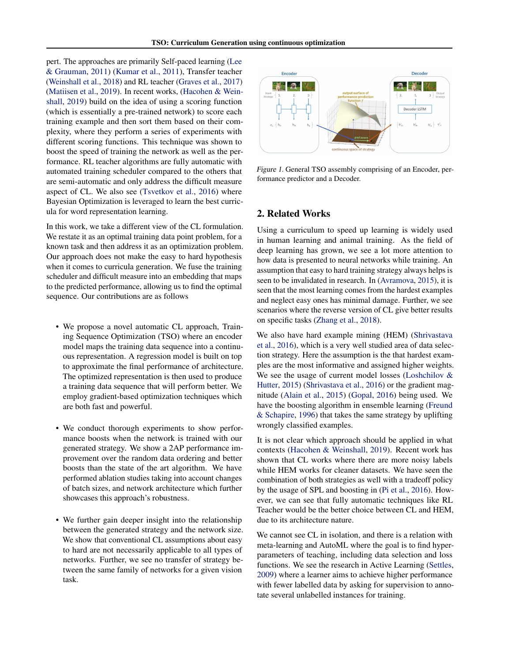<span id="page-1-0"></span>pert. The approaches are primarily Self-paced learning [\(Lee](#page-7-0) [& Grauman,](#page-7-0) [2011\)](#page-7-0) [\(Kumar et al.,](#page-7-0) [2011\)](#page-7-0), Transfer teacher [\(Weinshall et al.,](#page-8-0) [2018\)](#page-8-0) and RL teacher [\(Graves et al.,](#page-7-0) [2017\)](#page-7-0) [\(Matiisen et al.,](#page-7-0) [2019\)](#page-7-0). In recent works, [\(Hacohen & Wein](#page-7-0)[shall,](#page-7-0) [2019\)](#page-7-0) build on the idea of using a scoring function (which is essentially a pre-trained network) to score each training example and then sort them based on their complexity, where they perform a series of experiments with different scoring functions. This technique was shown to boost the speed of training the network as well as the performance. RL teacher algorithms are fully automatic with automated training scheduler compared to the others that are semi-automatic and only address the difficult measure aspect of CL. We also see [\(Tsvetkov et al.,](#page-8-0) [2016\)](#page-8-0) where Bayesian Optimization is leveraged to learn the best curricula for word representation learning.

In this work, we take a different view of the CL formulation. We restate it as an optimal training data point problem, for a known task and then address it as an optimization problem. Our approach does not make the easy to hard hypothesis when it comes to curricula generation. We fuse the training scheduler and difficult measure into an embedding that maps to the predicted performance, allowing us to find the optimal sequence. Our contributions are as follows

- We propose a novel automatic CL approach, Training Sequence Optimization (TSO) where an encoder model maps the training data sequence into a continuous representation. A regression model is built on top to approximate the final performance of architecture. The optimized representation is then used to produce a training data sequence that will perform better. We employ gradient-based optimization techniques which are both fast and powerful.
- We conduct thorough experiments to show performance boosts when the network is trained with our generated strategy. We show a 2AP performance improvement over the random data ordering and better boosts than the state of the art algorithm. We have performed ablation studies taking into account changes of batch sizes, and network architecture which further showcases this approach's robustness.
- We further gain deeper insight into the relationship between the generated strategy and the network size. We show that conventional CL assumptions about easy to hard are not necessarily applicable to all types of networks. Further, we see no transfer of strategy between the same family of networks for a given vision task.



Figure 1. General TSO assembly comprising of an Encoder, performance predictor and a Decoder.

## 2. Related Works

Using a curriculum to speed up learning is widely used in human learning and animal training. As the field of deep learning has grown, we see a lot more attention to how data is presented to neural networks while training. An assumption that easy to hard training strategy always helps is seen to be invalidated in research. In [\(Avramova,](#page-7-0) [2015\)](#page-7-0), it is seen that the most learning comes from the hardest examples and neglect easy ones has minimal damage. Further, we see scenarios where the reverse version of CL give better results on specific tasks [\(Zhang et al.,](#page-8-0) [2018\)](#page-8-0).

We also have hard example mining (HEM) [\(Shrivastava](#page-7-0) [et al.,](#page-7-0) [2016\)](#page-7-0), which is a very well studied area of data selection strategy. Here the assumption is the that hardest examples are the most informative and assigned higher weights. We see the usage of current model losses [\(Loshchilov &](#page-7-0) [Hutter,](#page-7-0) [2015\)](#page-7-0) [\(Shrivastava et al.,](#page-7-0) [2016\)](#page-7-0) or the gradient magnitude [\(Alain et al.,](#page-7-0) [2015\)](#page-7-0) [\(Gopal,](#page-7-0) [2016\)](#page-7-0) being used. We have the boosting algorithm in ensemble learning [\(Freund](#page-7-0) [& Schapire,](#page-7-0) [1996\)](#page-7-0) that takes the same strategy by uplifting wrongly classified examples.

It is not clear which approach should be applied in what contexts [\(Hacohen & Weinshall,](#page-7-0) [2019\)](#page-7-0). Recent work has shown that CL works where there are more noisy labels while HEM works for cleaner datasets. We have seen the combination of both strategies as well with a tradeoff policy by the usage of SPL and boosting in [\(Pi et al.,](#page-7-0) [2016\)](#page-7-0). However, we can see that fully automatic techniques like RL Teacher would be the better choice between CL and HEM, due to its architecture nature.

We cannot see CL in isolation, and there is a relation with meta-learning and AutoML where the goal is to find hyperparameters of teaching, including data selection and loss functions. We see the research in Active Learning [\(Settles,](#page-7-0) [2009\)](#page-7-0) where a learner aims to achieve higher performance with fewer labelled data by asking for supervision to annotate several unlabelled instances for training.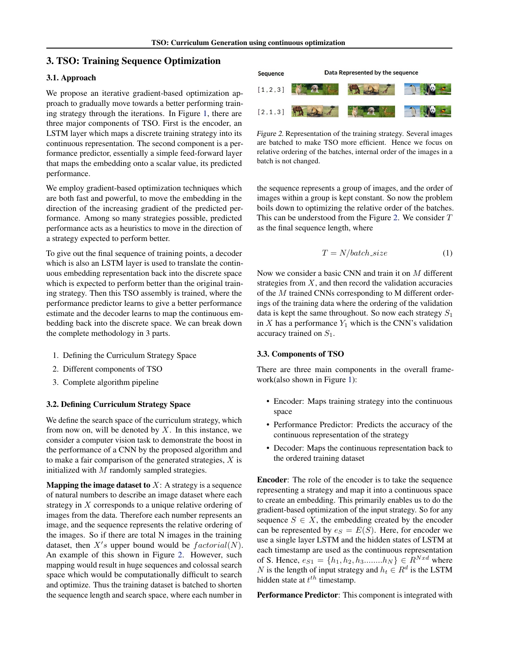# 3. TSO: Training Sequence Optimization

## 3.1. Approach

We propose an iterative gradient-based optimization approach to gradually move towards a better performing training strategy through the iterations. In Figure [1,](#page-1-0) there are three major components of TSO. First is the encoder, an LSTM layer which maps a discrete training strategy into its continuous representation. The second component is a performance predictor, essentially a simple feed-forward layer that maps the embedding onto a scalar value, its predicted performance.

We employ gradient-based optimization techniques which are both fast and powerful, to move the embedding in the direction of the increasing gradient of the predicted performance. Among so many strategies possible, predicted performance acts as a heuristics to move in the direction of a strategy expected to perform better.

To give out the final sequence of training points, a decoder which is also an LSTM layer is used to translate the continuous embedding representation back into the discrete space which is expected to perform better than the original training strategy. Then this TSO assembly is trained, where the performance predictor learns to give a better performance estimate and the decoder learns to map the continuous embedding back into the discrete space. We can break down the complete methodology in 3 parts.

- 1. Defining the Curriculum Strategy Space
- 2. Different components of TSO
- 3. Complete algorithm pipeline

## 3.2. Defining Curriculum Strategy Space

We define the search space of the curriculum strategy, which from now on, will be denoted by  $X$ . In this instance, we consider a computer vision task to demonstrate the boost in the performance of a CNN by the proposed algorithm and to make a fair comparison of the generated strategies,  $X$  is initialized with  $M$  randomly sampled strategies.

**Mapping the image dataset to**  $X$ : A strategy is a sequence of natural numbers to describe an image dataset where each strategy in X corresponds to a unique relative ordering of images from the data. Therefore each number represents an image, and the sequence represents the relative ordering of the images. So if there are total N images in the training dataset, then  $X's$  upper bound would be  $factorial(N)$ . An example of this shown in Figure 2. However, such mapping would result in huge sequences and colossal search space which would be computationally difficult to search and optimize. Thus the training dataset is batched to shorten the sequence length and search space, where each number in



Figure 2. Representation of the training strategy. Several images are batched to make TSO more efficient. Hence we focus on relative ordering of the batches, internal order of the images in a batch is not changed.

the sequence represents a group of images, and the order of images within a group is kept constant. So now the problem boils down to optimizing the relative order of the batches. This can be understood from the Figure 2. We consider  $T$ as the final sequence length, where

$$
T = N/batch\_size
$$
 (1)

Now we consider a basic CNN and train it on M different strategies from  $X$ , and then record the validation accuracies of the M trained CNNs corresponding to M different orderings of the training data where the ordering of the validation data is kept the same throughout. So now each strategy  $S_1$ in  $X$  has a performance  $Y_1$  which is the CNN's validation accuracy trained on  $S_1$ .

#### 3.3. Components of TSO

There are three main components in the overall framework(also shown in Figure [1\)](#page-1-0):

- Encoder: Maps training strategy into the continuous space
- Performance Predictor: Predicts the accuracy of the continuous representation of the strategy
- Decoder: Maps the continuous representation back to the ordered training dataset

Encoder: The role of the encoder is to take the sequence representing a strategy and map it into a continuous space to create an embedding. This primarily enables us to do the gradient-based optimization of the input strategy. So for any sequence  $S \in X$ , the embedding created by the encoder can be represented by  $e_S = E(S)$ . Here, for encoder we use a single layer LSTM and the hidden states of LSTM at each timestamp are used as the continuous representation of S. Hence,  $e_{S1} = \{h_1, h_2, h_3. \ldots . . . h_N\} \in R^{Nxd}$  where N is the length of input strategy and  $h_t \in R^d$  is the LSTM hidden state at  $t^{th}$  timestamp.

Performance Predictor: This component is integrated with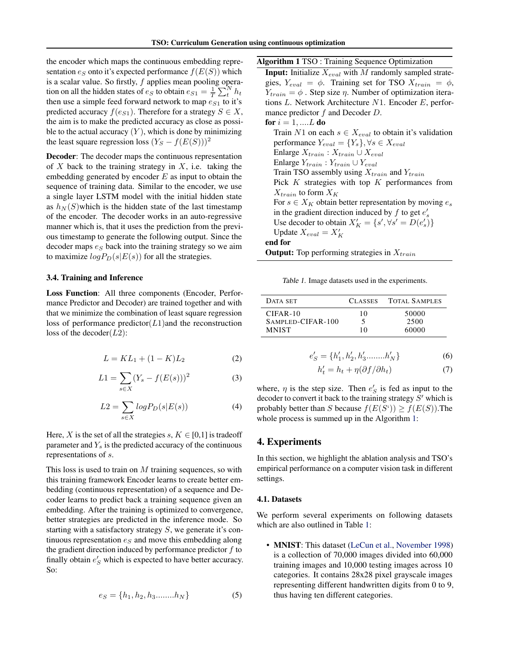the encoder which maps the continuous embedding representation  $e_S$  onto it's expected performance  $f(E(S))$  which is a scalar value. So firstly,  $f$  applies mean pooling operation on all the hidden states of  $e_S$  to obtain  $e_{S1} = \frac{1}{T} \sum_t^N h_t$ then use a simple feed forward network to map  $e_{S1}$  to it's predicted accuracy  $f(e_{S1})$ . Therefore for a strategy  $S \in X$ , the aim is to make the predicted accuracy as close as possible to the actual accuracy  $(Y)$ , which is done by minimizing the least square regression loss  $(Y_S - f(E(S)))^2$ 

Decoder: The decoder maps the continuous representation of X back to the training strategy in X, i.e. taking the embedding generated by encoder  $E$  as input to obtain the sequence of training data. Similar to the encoder, we use a single layer LSTM model with the initial hidden state as  $h_N(S)$  which is the hidden state of the last timestamp of the encoder. The decoder works in an auto-regressive manner which is, that it uses the prediction from the previous timestamp to generate the following output. Since the decoder maps  $e_S$  back into the training strategy so we aim to maximize  $log P_D(s|E(s))$  for all the strategies.

#### 3.4. Training and Inference

Loss Function: All three components (Encoder, Performance Predictor and Decoder) are trained together and with that we minimize the combination of least square regression loss of performance predictor $(L1)$  and the reconstruction loss of the decoder( $L2$ ):

$$
L = KL_1 + (1 - K)L_2 \tag{2}
$$

$$
L1 = \sum_{s \in X} (Y_s - f(E(s)))^2
$$
 (3)

$$
L2 = \sum_{s \in X} log P_D(s|E(s))
$$
 (4)

Here, X is the set of all the strategies s,  $K \in [0,1]$  is tradeoff parameter and  $Y_s$  is the predicted accuracy of the continuous representations of s.

This loss is used to train on  $M$  training sequences, so with this training framework Encoder learns to create better embedding (continuous representation) of a sequence and Decoder learns to predict back a training sequence given an embedding. After the training is optimized to convergence, better strategies are predicted in the inference mode. So starting with a satisfactory strategy  $S$ , we generate it's continuous representation  $e_S$  and move this embedding along the gradient direction induced by performance predictor  $f$  to finally obtain  $e'_{S}$  which is expected to have better accuracy. So:

$$
e_S = \{h_1, h_2, h_3 \dots \dots \dots h_N\}
$$
 (5)

Algorithm 1 TSO : Training Sequence Optimization

**Input:** Initialize  $X_{eval}$  with M randomly sampled strategies,  $Y_{eval} = \phi$ . Training set for TSO  $X_{train} = \phi$ ,  $Y_{train} = \phi$ . Step size  $\eta$ . Number of optimization iterations L. Network Architecture N1. Encoder E, performance predictor f and Decoder D. for  $i = 1, \dots, L$  do Train N1 on each  $s \in X_{eval}$  to obtain it's validation performance  $Y_{eval} = \{Y_s\}, \forall s \in X_{eval}$ Enlarge  $X_{train}: X_{train} \cup X_{eval}$ Enlarge  $Y_{train}$ :  $Y_{train} \cup Y_{eval}$ Train TSO assembly using  $X_{train}$  and  $Y_{train}$ Pick  $K$  strategies with top  $K$  performances from

 $X_{train}$  to form  $X_K$ 

For  $s \in X_K$  obtain better representation by moving  $e_s$ in the gradient direction induced by  $f$  to get  $e'_s$ Use decoder to obtain  $X'_K = \{s', \forall s' = D(e'_s)\}\$ 

Update  $X_{eval} = X'_{K}$ 

end for

**Output:** Top performing strategies in  $X_{train}$ 

Table 1. Image datasets used in the experiments.

| DATA SET          | <b>CLASSES</b> | <b>TOTAL SAMPLES</b> |
|-------------------|----------------|----------------------|
| $CIFAR-10$        | 10             | 50000                |
| SAMPLED-CIFAR-100 | 5              | 2500                 |
| <b>MNIST</b>      | 10             | 60000                |

$$
e'_{S} = \{h'_{1}, h'_{2}, h'_{3} \dots \dots h'_{N}\}\tag{6}
$$

$$
h_t' = h_t + \eta(\partial f/\partial h_t) \tag{7}
$$

where,  $\eta$  is the step size. Then  $e'_{S}$  is fed as input to the decoder to convert it back to the training strategy  $S'$  which is probably better than S because  $f(E(S')) \ge f(E(S))$ . The whole process is summed up in the Algorithm 1:

## 4. Experiments

In this section, we highlight the ablation analysis and TSO's empirical performance on a computer vision task in different settings.

#### 4.1. Datasets

We perform several experiments on following datasets which are also outlined in Table 1:

• **MNIST**: This dataset [\(LeCun et al.,](#page-7-0) [November 1998\)](#page-7-0) is a collection of 70,000 images divided into 60,000 training images and 10,000 testing images across 10 categories. It contains 28x28 pixel grayscale images representing different handwritten digits from 0 to 9, thus having ten different categories.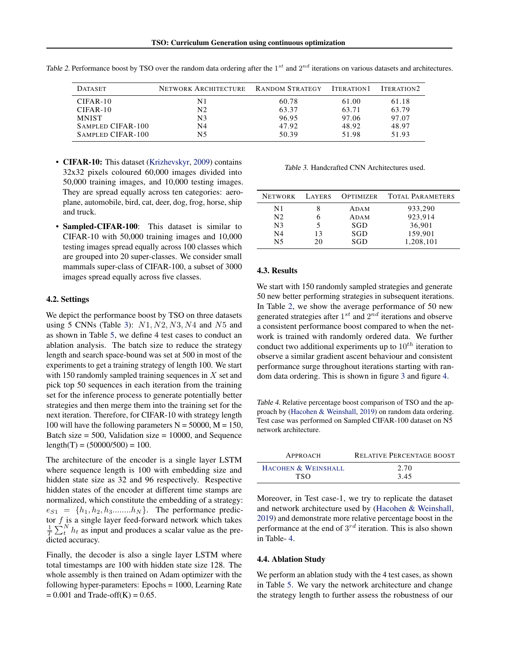| <b>DATASET</b>    | NETWORK ARCHITECTURE RANDOM STRATEGY |       | ITERATION <sub>1</sub> | ITERATION <sub>2</sub> |
|-------------------|--------------------------------------|-------|------------------------|------------------------|
| $CIFAR-10$        | N1                                   | 60.78 | 61.00                  | 61.18                  |
| $CIFAR-10$        | N2                                   | 63.37 | 63.71                  | 63.79                  |
| <b>MNIST</b>      | N3                                   | 96.95 | 97.06                  | 97.07                  |
| SAMPLED CIFAR-100 | N4                                   | 47.92 | 48.92                  | 48.97                  |
| SAMPLED CIFAR-100 | N5                                   | 50.39 | 51.98                  | 51.93                  |

<span id="page-4-0"></span>Table 2. Performance boost by TSO over the random data ordering after the  $1^{st}$  and  $2^{nd}$  iterations on various datasets and architectures.

- **CIFAR-10:** This dataset [\(Krizhevskyr,](#page-7-0) [2009\)](#page-7-0) contains 32x32 pixels coloured 60,000 images divided into 50,000 training images, and 10,000 testing images. They are spread equally across ten categories: aeroplane, automobile, bird, cat, deer, dog, frog, horse, ship and truck.
- **Sampled-CIFAR-100**: This dataset is similar to CIFAR-10 with 50,000 training images and 10,000 testing images spread equally across 100 classes which are grouped into 20 super-classes. We consider small mammals super-class of CIFAR-100, a subset of 3000 images spread equally across five classes.

#### 4.2. Settings

We depict the performance boost by TSO on three datasets using 5 CNNs (Table 3):  $N1, N2, N3, N4$  and  $N5$  and as shown in Table [5,](#page-5-0) we define 4 test cases to conduct an ablation analysis. The batch size to reduce the strategy length and search space-bound was set at 500 in most of the experiments to get a training strategy of length 100. We start with 150 randomly sampled training sequences in  $X$  set and pick top 50 sequences in each iteration from the training set for the inference process to generate potentially better strategies and then merge them into the training set for the next iteration. Therefore, for CIFAR-10 with strategy length 100 will have the following parameters  $N = 50000$ ,  $M = 150$ , Batch size  $= 500$ , Validation size  $= 10000$ , and Sequence  $length(T) = (50000/500) = 100.$ 

The architecture of the encoder is a single layer LSTM where sequence length is 100 with embedding size and hidden state size as 32 and 96 respectively. Respective hidden states of the encoder at different time stamps are normalized, which constitute the embedding of a strategy:  $e_{S1} = \{h_1, h_2, h_3, \ldots, h_N\}$ . The performance predictor  $f$  is a single layer feed-forward network which takes  $\frac{1}{T} \sum_{t=1}^{T} h_t$  as input and produces a scalar value as the predicted accuracy.

Finally, the decoder is also a single layer LSTM where total timestamps are 100 with hidden state size 128. The whole assembly is then trained on Adam optimizer with the following hyper-parameters: Epochs = 1000, Learning Rate  $= 0.001$  and Trade-off(K) = 0.65.

Table 3. Handcrafted CNN Architectures used.

| <b>NETWORK</b> | LAYERS | OPTIMIZER | <b>TOTAL PARAMETERS</b> |
|----------------|--------|-----------|-------------------------|
| N1             |        | ADAM      | 933,290                 |
| N <sub>2</sub> | 6      | ADAM      | 923,914                 |
| N <sub>3</sub> | 5      | SGD       | 36,901                  |
| N <sub>4</sub> | 13     | SGD       | 159.901                 |
| N5             | 20     | SGD       | 1,208,101               |
|                |        |           |                         |

### 4.3. Results

We start with 150 randomly sampled strategies and generate 50 new better performing strategies in subsequent iterations. In Table 2, we show the average performance of 50 new generated strategies after  $1^{st}$  and  $2^{nd}$  iterations and observe a consistent performance boost compared to when the network is trained with randomly ordered data. We further conduct two additional experiments up to  $10^{th}$  iteration to observe a similar gradient ascent behaviour and consistent performance surge throughout iterations starting with random data ordering. This is shown in figure [3](#page-5-0) and figure [4.](#page-5-0)

Table 4. Relative percentage boost comparison of TSO and the approach by [\(Hacohen & Weinshall,](#page-7-0) [2019\)](#page-7-0) on random data ordering. Test case was performed on Sampled CIFAR-100 dataset on N5 network architecture.

| APPROACH            | <b>RELATIVE PERCENTAGE BOOST</b> |
|---------------------|----------------------------------|
| HACOHEN & WEINSHALL | 2.70                             |
| TSO.                | 3.45                             |

Moreover, in Test case-1, we try to replicate the dataset and network architecture used by [\(Hacohen & Weinshall,](#page-7-0) [2019\)](#page-7-0) and demonstrate more relative percentage boost in the performance at the end of  $3^{rd}$  iteration. This is also shown in Table- 4.

# 4.4. Ablation Study

We perform an ablation study with the 4 test cases, as shown in Table [5.](#page-5-0) We vary the network architecture and change the strategy length to further assess the robustness of our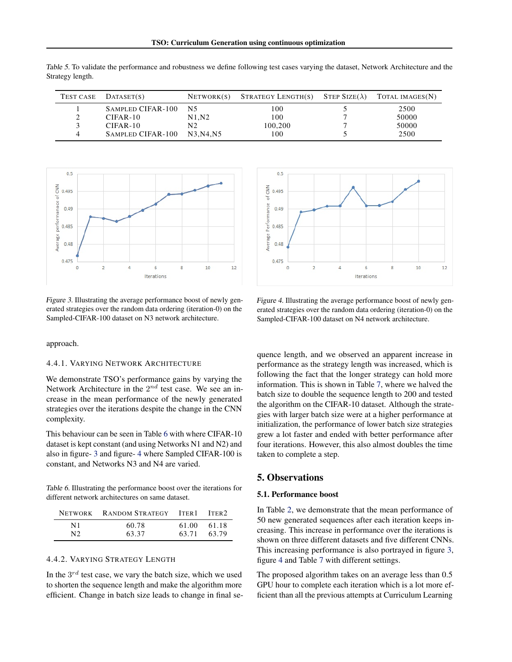<span id="page-5-0"></span>Table 5. To validate the performance and robustness we define following test cases varying the dataset, Network Architecture and the Strategy length.

| TEST CASE | DATASET(S)        | NETWORK(S) | STRATEGY LENGTH(S) STEP SIZE( $\lambda$ ) | TOTAL IMAGES(N) |
|-----------|-------------------|------------|-------------------------------------------|-----------------|
|           | SAMPLED CIFAR-100 | N5         | 100                                       | 2500            |
|           | CIFAR-10          | N1.N2      | 100                                       | 50000           |
|           | $CIFAR-10$        | N2         | 100.200                                   | 50000           |
|           | SAMPLED CIFAR-100 | N3.N4.N5   | 100                                       | 2500            |



Figure 3. Illustrating the average performance boost of newly generated strategies over the random data ordering (iteration-0) on the Sampled-CIFAR-100 dataset on N3 network architecture.

approach.

#### 4.4.1. VARYING NETWORK ARCHITECTURE

We demonstrate TSO's performance gains by varying the Network Architecture in the  $2^{nd}$  test case. We see an increase in the mean performance of the newly generated strategies over the iterations despite the change in the CNN complexity.

This behaviour can be seen in Table 6 with where CIFAR-10 dataset is kept constant (and using Networks N1 and N2) and also in figure- 3 and figure- 4 where Sampled CIFAR-100 is constant, and Networks N3 and N4 are varied.

Table 6. Illustrating the performance boost over the iterations for different network architectures on same dataset.

|                | NETWORK RANDOM STRATEGY ITER1 ITER2 |       |       |
|----------------|-------------------------------------|-------|-------|
| N1             | 60.78                               | 61.00 | 61.18 |
| N <sub>2</sub> | 63.37                               | 63.71 | 63.79 |

#### 4.4.2. VARYING STRATEGY LENGTH

In the  $3^{rd}$  test case, we vary the batch size, which we used to shorten the sequence length and make the algorithm more efficient. Change in batch size leads to change in final se-



Figure 4. Illustrating the average performance boost of newly generated strategies over the random data ordering (iteration-0) on the Sampled-CIFAR-100 dataset on N4 network architecture.

quence length, and we observed an apparent increase in performance as the strategy length was increased, which is following the fact that the longer strategy can hold more information. This is shown in Table [7,](#page-6-0) where we halved the batch size to double the sequence length to 200 and tested the algorithm on the CIFAR-10 dataset. Although the strategies with larger batch size were at a higher performance at initialization, the performance of lower batch size strategies grew a lot faster and ended with better performance after four iterations. However, this also almost doubles the time taken to complete a step.

# 5. Observations

#### 5.1. Performance boost

In Table [2,](#page-4-0) we demonstrate that the mean performance of 50 new generated sequences after each iteration keeps increasing. This increase in performance over the iterations is shown on three different datasets and five different CNNs. This increasing performance is also portrayed in figure 3, figure 4 and Table [7](#page-6-0) with different settings.

The proposed algorithm takes on an average less than 0.5 GPU hour to complete each iteration which is a lot more efficient than all the previous attempts at Curriculum Learning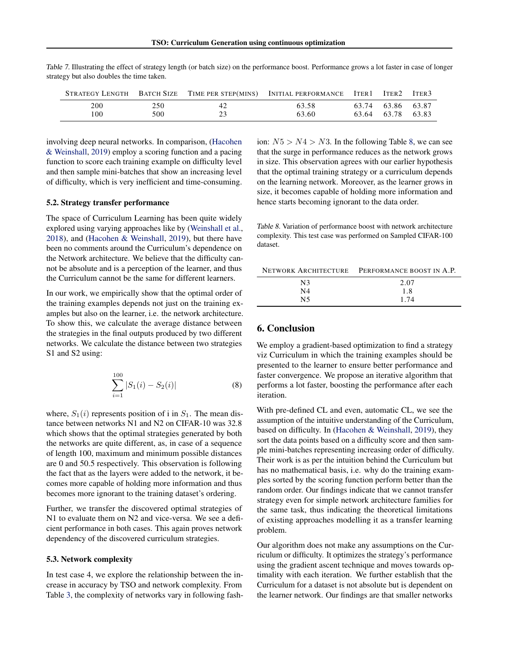|           |            |          | STRATEGY LENGTH BATCH SIZE TIME PER STEP(MINS) INITIAL PERFORMANCE | ITER 1 | ITER2                            | ITER <sub>3</sub> |
|-----------|------------|----------|--------------------------------------------------------------------|--------|----------------------------------|-------------------|
| 200<br>00 | 250<br>500 | 42<br>23 | 63.58<br>63.60                                                     |        | 63.74 63.86 63.87<br>63.64 63.78 | 63.83             |

<span id="page-6-0"></span>Table 7. Illustrating the effect of strategy length (or batch size) on the performance boost. Performance grows a lot faster in case of longer strategy but also doubles the time taken.

involving deep neural networks. In comparison, [\(Hacohen](#page-7-0) [& Weinshall,](#page-7-0) [2019\)](#page-7-0) employ a scoring function and a pacing function to score each training example on difficulty level and then sample mini-batches that show an increasing level of difficulty, which is very inefficient and time-consuming.

#### 5.2. Strategy transfer performance

The space of Curriculum Learning has been quite widely explored using varying approaches like by [\(Weinshall et al.,](#page-8-0) [2018\)](#page-8-0), and [\(Hacohen & Weinshall,](#page-7-0) [2019\)](#page-7-0), but there have been no comments around the Curriculum's dependence on the Network architecture. We believe that the difficulty cannot be absolute and is a perception of the learner, and thus the Curriculum cannot be the same for different learners.

In our work, we empirically show that the optimal order of the training examples depends not just on the training examples but also on the learner, i.e. the network architecture. To show this, we calculate the average distance between the strategies in the final outputs produced by two different networks. We calculate the distance between two strategies S1 and S2 using:

$$
\sum_{i=1}^{100} |S_1(i) - S_2(i)| \tag{8}
$$

where,  $S_1(i)$  represents position of i in  $S_1$ . The mean distance between networks N1 and N2 on CIFAR-10 was 32.8 which shows that the optimal strategies generated by both the networks are quite different, as, in case of a sequence of length 100, maximum and minimum possible distances are 0 and 50.5 respectively. This observation is following the fact that as the layers were added to the network, it becomes more capable of holding more information and thus becomes more ignorant to the training dataset's ordering.

Further, we transfer the discovered optimal strategies of N1 to evaluate them on N2 and vice-versa. We see a deficient performance in both cases. This again proves network dependency of the discovered curriculum strategies.

## 5.3. Network complexity

In test case 4, we explore the relationship between the increase in accuracy by TSO and network complexity. From Table [3,](#page-4-0) the complexity of networks vary in following fashion:  $N5 > N4 > N3$ . In the following Table 8, we can see that the surge in performance reduces as the network grows in size. This observation agrees with our earlier hypothesis that the optimal training strategy or a curriculum depends on the learning network. Moreover, as the learner grows in size, it becomes capable of holding more information and hence starts becoming ignorant to the data order.

Table 8. Variation of performance boost with network architecture complexity. This test case was performed on Sampled CIFAR-100 dataset.

|    | NETWORK ARCHITECTURE PERFORMANCE BOOST IN A.P. |
|----|------------------------------------------------|
| N3 | 2.07                                           |
| N4 | 1.8                                            |
| N5 | 1 74                                           |

## 6. Conclusion

We employ a gradient-based optimization to find a strategy viz Curriculum in which the training examples should be presented to the learner to ensure better performance and faster convergence. We propose an iterative algorithm that performs a lot faster, boosting the performance after each iteration.

With pre-defined CL and even, automatic CL, we see the assumption of the intuitive understanding of the Curriculum, based on difficulty. In [\(Hacohen & Weinshall,](#page-7-0) [2019\)](#page-7-0), they sort the data points based on a difficulty score and then sample mini-batches representing increasing order of difficulty. Their work is as per the intuition behind the Curriculum but has no mathematical basis, i.e. why do the training examples sorted by the scoring function perform better than the random order. Our findings indicate that we cannot transfer strategy even for simple network architecture families for the same task, thus indicating the theoretical limitations of existing approaches modelling it as a transfer learning problem.

Our algorithm does not make any assumptions on the Curriculum or difficulty. It optimizes the strategy's performance using the gradient ascent technique and moves towards optimality with each iteration. We further establish that the Curriculum for a dataset is not absolute but is dependent on the learner network. Our findings are that smaller networks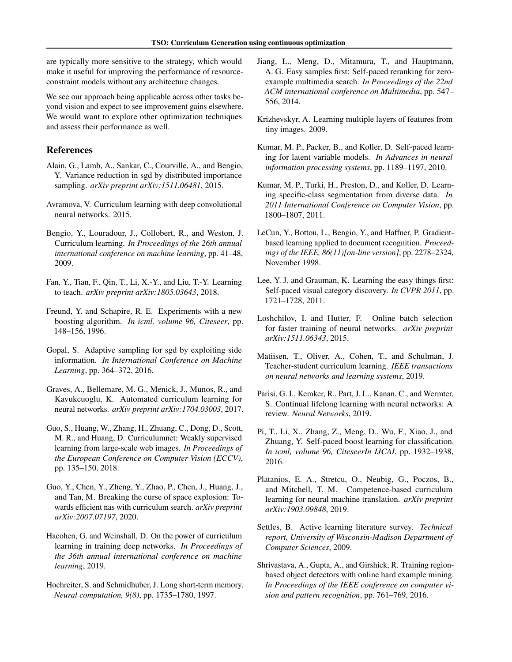<span id="page-7-0"></span>are typically more sensitive to the strategy, which would make it useful for improving the performance of resourceconstraint models without any architecture changes.

We see our approach being applicable across other tasks beyond vision and expect to see improvement gains elsewhere. We would want to explore other optimization techniques and assess their performance as well.

# References

- Alain, G., Lamb, A., Sankar, C., Courville, A., and Bengio, Y. Variance reduction in sgd by distributed importance sampling. *arXiv preprint arXiv:1511.06481*, 2015.
- Avramova, V. Curriculum learning with deep convolutional neural networks. 2015.
- Bengio, Y., Louradour, J., Collobert, R., and Weston, J. Curriculum learning. *In Proceedings of the 26th annual international conference on machine learning*, pp. 41–48, 2009.
- Fan, Y., Tian, F., Qin, T., Li, X.-Y., and Liu, T.-Y. Learning to teach. *arXiv preprint arXiv:1805.03643*, 2018.
- Freund, Y. and Schapire, R. E. Experiments with a new boosting algorithm. *In icml, volume 96, Citeseer*, pp. 148–156, 1996.
- Gopal, S. Adaptive sampling for sgd by exploiting side information. *In International Conference on Machine Learning*, pp. 364–372, 2016.
- Graves, A., Bellemare, M. G., Menick, J., Munos, R., and Kavukcuoglu, K. Automated curriculum learning for neural networks. *arXiv preprint arXiv:1704.03003*, 2017.
- Guo, S., Huang, W., Zhang, H., Zhuang, C., Dong, D., Scott, M. R., and Huang, D. Curriculumnet: Weakly supervised learning from large-scale web images. *In Proceedings of the European Conference on Computer Vision (ECCV)*, pp. 135–150, 2018.
- Guo, Y., Chen, Y., Zheng, Y., Zhao, P., Chen, J., Huang, J., and Tan, M. Breaking the curse of space explosion: Towards efficient nas with curriculum search. *arXiv preprint arXiv:2007.07197*, 2020.
- Hacohen, G. and Weinshall, D. On the power of curriculum learning in training deep networks. *In Proceedings of the 36th annual international conference on machine learning*, 2019.
- Hochreiter, S. and Schmidhuber, J. Long short-term memory. *Neural computation, 9(8)*, pp. 1735–1780, 1997.
- Jiang, L., Meng, D., Mitamura, T., and Hauptmann, A. G. Easy samples first: Self-paced reranking for zeroexample multimedia search. *In Proceedings of the 22nd ACM international conference on Multimedia*, pp. 547– 556, 2014.
- Krizhevskyr, A. Learning multiple layers of features from tiny images. 2009.
- Kumar, M. P., Packer, B., and Koller, D. Self-paced learning for latent variable models. *In Advances in neural information processing systems*, pp. 1189–1197, 2010.
- Kumar, M. P., Turki, H., Preston, D., and Koller, D. Learning specific-class segmentation from diverse data. *In 2011 International Conference on Computer Vision*, pp. 1800–1807, 2011.
- LeCun, Y., Bottou, L., Bengio, Y., and Haffner, P. Gradientbased learning applied to document recognition. *Proceedings of the IEEE, 86(11)[on-line version]*, pp. 2278–2324, November 1998.
- Lee, Y. J. and Grauman, K. Learning the easy things first: Self-paced visual category discovery. *In CVPR 2011*, pp. 1721–1728, 2011.
- Loshchilov, I. and Hutter, F. Online batch selection for faster training of neural networks. *arXiv preprint arXiv:1511.06343*, 2015.
- Matiisen, T., Oliver, A., Cohen, T., and Schulman, J. Teacher-student curriculum learning. *IEEE transactions on neural networks and learning systems*, 2019.
- Parisi, G. I., Kemker, R., Part, J. L., Kanan, C., and Wermter, S. Continual lifelong learning with neural networks: A review. *Neural Networks*, 2019.
- Pi, T., Li, X., Zhang, Z., Meng, D., Wu, F., Xiao, J., and Zhuang, Y. Self-paced boost learning for classification. *In icml, volume 96, CiteseerIn IJCAI*, pp. 1932–1938, 2016.
- Platanios, E. A., Stretcu, O., Neubig, G., Poczos, B., and Mitchell, T. M. Competence-based curriculum learning for neural machine translation. *arXiv preprint arXiv:1903.09848*, 2019.
- Settles, B. Active learning literature survey. *Technical report, University of Wisconsin-Madison Department of Computer Sciences*, 2009.
- Shrivastava, A., Gupta, A., and Girshick, R. Training regionbased object detectors with online hard example mining. *In Proceedings of the IEEE conference on computer vision and pattern recognition*, pp. 761–769, 2016.